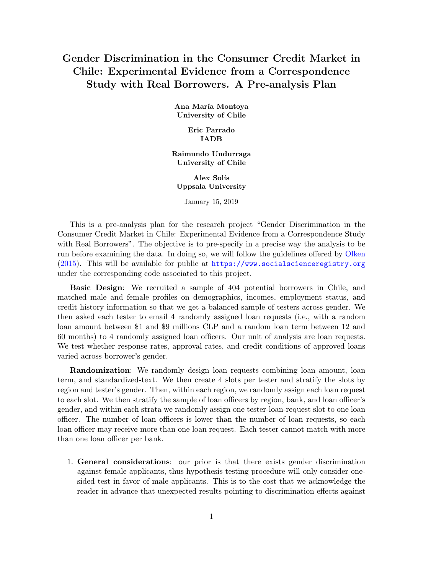# Gender Discrimination in the Consumer Credit Market in Chile: Experimental Evidence from a Correspondence Study with Real Borrowers. A Pre-analysis Plan

Ana María Montoya University of Chile

> Eric Parrado IADB

Raimundo Undurraga University of Chile

Alex Solís Uppsala University

January 15, 2019

This is a pre-analysis plan for the research project "Gender Discrimination in the Consumer Credit Market in Chile: Experimental Evidence from a Correspondence Study with Real Borrowers". The objective is to pre-specify in a precise way the analysis to be run before examining the data. In doing so, we will follow the guidelines offered by [Olken](#page-4-0) [\(2015\)](#page-4-0). This will be available for public at  $https://www.socialscience registry.org$ under the corresponding code associated to this project.

Basic Design: We recruited a sample of 404 potential borrowers in Chile, and matched male and female profiles on demographics, incomes, employment status, and credit history information so that we get a balanced sample of testers across gender. We then asked each tester to email 4 randomly assigned loan requests (i.e., with a random loan amount between \$1 and \$9 millions CLP and a random loan term between 12 and 60 months) to 4 randomly assigned loan officers. Our unit of analysis are loan requests. We test whether response rates, approval rates, and credit conditions of approved loans varied across borrower's gender.

Randomization: We randomly design loan requests combining loan amount, loan term, and standardized-text. We then create 4 slots per tester and stratify the slots by region and tester's gender. Then, within each region, we randomly assign each loan request to each slot. We then stratify the sample of loan officers by region, bank, and loan officer's gender, and within each strata we randomly assign one tester-loan-request slot to one loan officer. The number of loan officers is lower than the number of loan requests, so each loan officer may receive more than one loan request. Each tester cannot match with more than one loan officer per bank.

1. General considerations: our prior is that there exists gender discrimination against female applicants, thus hypothesis testing procedure will only consider onesided test in favor of male applicants. This is to the cost that we acknowledge the reader in advance that unexpected results pointing to discrimination effects against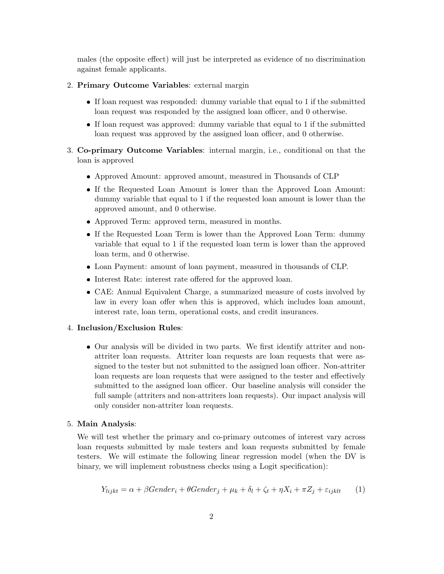males (the opposite effect) will just be interpreted as evidence of no discrimination against female applicants.

- 2. Primary Outcome Variables: external margin
	- If loan request was responded: dummy variable that equal to 1 if the submitted loan request was responded by the assigned loan officer, and 0 otherwise.
	- If loan request was approved: dummy variable that equal to 1 if the submitted loan request was approved by the assigned loan officer, and 0 otherwise.
- 3. Co-primary Outcome Variables: internal margin, i.e., conditional on that the loan is approved
	- Approved Amount: approved amount, measured in Thousands of CLP
	- If the Requested Loan Amount is lower than the Approved Loan Amount: dummy variable that equal to 1 if the requested loan amount is lower than the approved amount, and 0 otherwise.
	- Approved Term: approved term, measured in months.
	- If the Requested Loan Term is lower than the Approved Loan Term: dummy variable that equal to 1 if the requested loan term is lower than the approved loan term, and 0 otherwise.
	- Loan Payment: amount of loan payment, measured in thousands of CLP.
	- Interest Rate: interest rate offered for the approved loan.
	- CAE: Annual Equivalent Charge, a summarized measure of costs involved by law in every loan offer when this is approved, which includes loan amount, interest rate, loan term, operational costs, and credit insurances.

# 4. Inclusion/Exclusion Rules:

 Our analysis will be divided in two parts. We first identify attriter and nonattriter loan requests. Attriter loan requests are loan requests that were assigned to the tester but not submitted to the assigned loan officer. Non-attriter loan requests are loan requests that were assigned to the tester and effectively submitted to the assigned loan officer. Our baseline analysis will consider the full sample (attriters and non-attriters loan requests). Our impact analysis will only consider non-attriter loan requests.

#### 5. Main Analysis:

We will test whether the primary and co-primary outcomes of interest vary across loan requests submitted by male testers and loan requests submitted by female testers. We will estimate the following linear regression model (when the DV is binary, we will implement robustness checks using a Logit specification):

$$
Y_{light} = \alpha + \beta \text{Gender}_{i} + \theta \text{Gender}_{j} + \mu_{k} + \delta_{l} + \zeta_{t} + \eta X_{i} + \pi Z_{j} + \varepsilon_{ijkl} \tag{1}
$$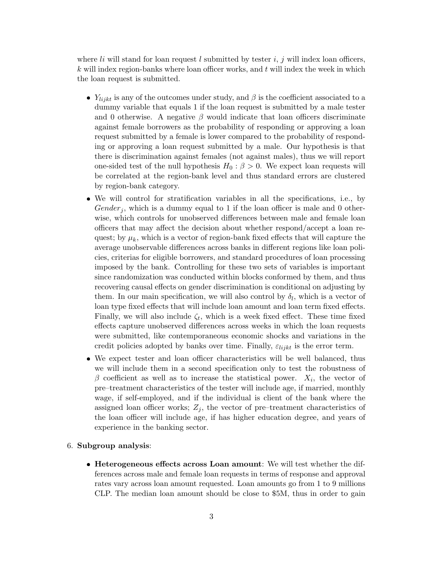where  $li$  will stand for loan request  $l$  submitted by tester  $i, j$  will index loan officers,  $k$  will index region-banks where loan officer works, and  $t$  will index the week in which the loan request is submitted.

- $Y_{light}$  is any of the outcomes under study, and  $\beta$  is the coefficient associated to a dummy variable that equals 1 if the loan request is submitted by a male tester and 0 otherwise. A negative  $\beta$  would indicate that loan officers discriminate against female borrowers as the probability of responding or approving a loan request submitted by a female is lower compared to the probability of responding or approving a loan request submitted by a male. Our hypothesis is that there is discrimination against females (not against males), thus we will report one-sided test of the null hypothesis  $H_0$ :  $\beta > 0$ . We expect loan requests will be correlated at the region-bank level and thus standard errors are clustered by region-bank category.
- We will control for stratification variables in all the specifications, i.e., by  $Gender_i$ , which is a dummy equal to 1 if the loan officer is male and 0 otherwise, which controls for unobserved differences between male and female loan officers that may affect the decision about whether respond/accept a loan request; by  $\mu_k$ , which is a vector of region-bank fixed effects that will capture the average unobservable differences across banks in different regions like loan policies, criterias for eligible borrowers, and standard procedures of loan processing imposed by the bank. Controlling for these two sets of variables is important since randomization was conducted within blocks conformed by them, and thus recovering causal effects on gender discrimination is conditional on adjusting by them. In our main specification, we will also control by  $\delta_l$ , which is a vector of loan type fixed effects that will include loan amount and loan term fixed effects. Finally, we will also include  $\zeta_t$ , which is a week fixed effect. These time fixed effects capture unobserved differences across weeks in which the loan requests were submitted, like contemporaneous economic shocks and variations in the credit policies adopted by banks over time. Finally,  $\varepsilon_{light}$  is the error term.
- We expect tester and loan officer characteristics will be well balanced, thus we will include them in a second specification only to test the robustness of  $\beta$  coefficient as well as to increase the statistical power.  $X_i$ , the vector of pre–treatment characteristics of the tester will include age, if married, monthly wage, if self-employed, and if the individual is client of the bank where the assigned loan officer works;  $Z_j$ , the vector of pre–treatment characteristics of the loan officer will include age, if has higher education degree, and years of experience in the banking sector.

# 6. Subgroup analysis:

• Heterogeneous effects across Loan amount: We will test whether the differences across male and female loan requests in terms of response and approval rates vary across loan amount requested. Loan amounts go from 1 to 9 millions CLP. The median loan amount should be close to \$5M, thus in order to gain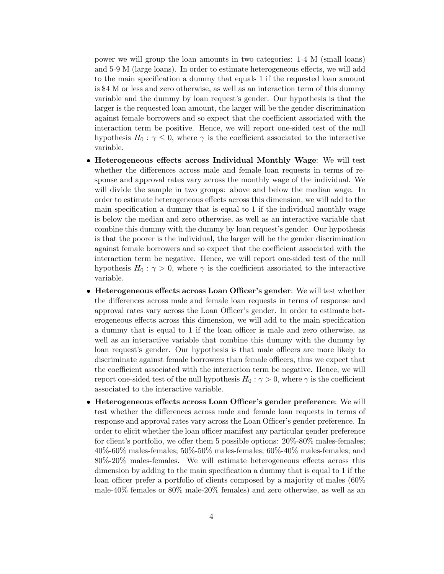power we will group the loan amounts in two categories: 1-4 M (small loans) and 5-9 M (large loans). In order to estimate heterogeneous effects, we will add to the main specification a dummy that equals 1 if the requested loan amount is \$4 M or less and zero otherwise, as well as an interaction term of this dummy variable and the dummy by loan request's gender. Our hypothesis is that the larger is the requested loan amount, the larger will be the gender discrimination against female borrowers and so expect that the coefficient associated with the interaction term be positive. Hence, we will report one-sided test of the null hypothesis  $H_0: \gamma \leq 0$ , where  $\gamma$  is the coefficient associated to the interactive variable.

- Heterogeneous effects across Individual Monthly Wage: We will test whether the differences across male and female loan requests in terms of response and approval rates vary across the monthly wage of the individual. We will divide the sample in two groups: above and below the median wage. In order to estimate heterogeneous effects across this dimension, we will add to the main specification a dummy that is equal to 1 if the individual monthly wage is below the median and zero otherwise, as well as an interactive variable that combine this dummy with the dummy by loan request's gender. Our hypothesis is that the poorer is the individual, the larger will be the gender discrimination against female borrowers and so expect that the coefficient associated with the interaction term be negative. Hence, we will report one-sided test of the null hypothesis  $H_0$ :  $\gamma > 0$ , where  $\gamma$  is the coefficient associated to the interactive variable.
- Heterogeneous effects across Loan Officer's gender: We will test whether the differences across male and female loan requests in terms of response and approval rates vary across the Loan Officer's gender. In order to estimate heterogeneous effects across this dimension, we will add to the main specification a dummy that is equal to 1 if the loan officer is male and zero otherwise, as well as an interactive variable that combine this dummy with the dummy by loan request's gender. Our hypothesis is that male officers are more likely to discriminate against female borrowers than female officers, thus we expect that the coefficient associated with the interaction term be negative. Hence, we will report one-sided test of the null hypothesis  $H_0$ :  $\gamma > 0$ , where  $\gamma$  is the coefficient associated to the interactive variable.
- Heterogeneous effects across Loan Officer's gender preference: We will test whether the differences across male and female loan requests in terms of response and approval rates vary across the Loan Officer's gender preference. In order to elicit whether the loan officer manifest any particular gender preference for client's portfolio, we offer them 5 possible options: 20%-80% males-females; 40%-60% males-females; 50%-50% males-females; 60%-40% males-females; and 80%-20% males-females. We will estimate heterogeneous effects across this dimension by adding to the main specification a dummy that is equal to 1 if the loan officer prefer a portfolio of clients composed by a majority of males (60% male-40% females or 80% male-20% females) and zero otherwise, as well as an